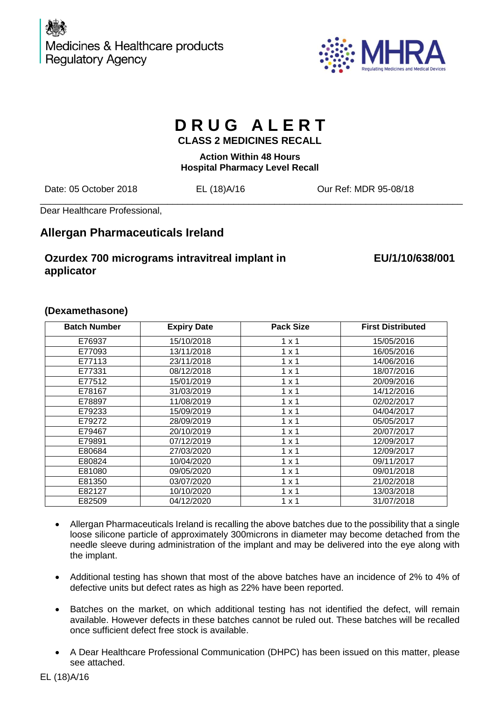



# **D R U G A L E R T**

**CLASS 2 MEDICINES RECALL**

**Action Within 48 Hours Hospital Pharmacy Level Recall**

\_\_\_\_\_\_\_\_\_\_\_\_\_\_\_\_\_\_\_\_\_\_\_\_\_\_\_\_\_\_\_\_\_\_\_\_\_\_\_\_\_\_\_\_\_\_\_\_\_\_\_\_\_\_\_\_\_\_\_\_\_\_\_\_\_\_\_\_\_\_\_\_\_\_\_\_\_\_\_\_\_\_\_

Date: 05 October 2018 EL (18)A/16 Our Ref: MDR 95-08/18

Dear Healthcare Professional,

## **Allergan Pharmaceuticals Ireland**

## **Ozurdex 700 micrograms intravitreal implant in applicator**

## **EU/1/10/638/001**

| <b>Batch Number</b> | <b>Expiry Date</b> | <b>Pack Size</b> | <b>First Distributed</b> |
|---------------------|--------------------|------------------|--------------------------|
| E76937              | 15/10/2018         | $1 \times 1$     | 15/05/2016               |
| E77093              | 13/11/2018         | $1 \times 1$     | 16/05/2016               |
| E77113              | 23/11/2018         | $1 \times 1$     | 14/06/2016               |
| E77331              | 08/12/2018         | $1 \times 1$     | 18/07/2016               |
| E77512              | 15/01/2019         | $1 \times 1$     | 20/09/2016               |
| E78167              | 31/03/2019         | $1 \times 1$     | 14/12/2016               |
| E78897              | 11/08/2019         | $1 \times 1$     | 02/02/2017               |
| E79233              | 15/09/2019         | $1 \times 1$     | 04/04/2017               |
| E79272              | 28/09/2019         | $1 \times 1$     | 05/05/2017               |
| E79467              | 20/10/2019         | $1 \times 1$     | 20/07/2017               |
| E79891              | 07/12/2019         | $1 \times 1$     | 12/09/2017               |
| E80684              | 27/03/2020         | $1 \times 1$     | 12/09/2017               |
| E80824              | 10/04/2020         | $1 \times 1$     | 09/11/2017               |
| E81080              | 09/05/2020         | $1 \times 1$     | 09/01/2018               |
| E81350              | 03/07/2020         | $1 \times 1$     | 21/02/2018               |
| E82127              | 10/10/2020         | $1 \times 1$     | 13/03/2018               |
| E82509              | 04/12/2020         | $1 \times 1$     | 31/07/2018               |

### **(Dexamethasone)**

- Allergan Pharmaceuticals Ireland is recalling the above batches due to the possibility that a single loose silicone particle of approximately 300microns in diameter may become detached from the needle sleeve during administration of the implant and may be delivered into the eye along with the implant.
- Additional testing has shown that most of the above batches have an incidence of 2% to 4% of defective units but defect rates as high as 22% have been reported.
- Batches on the market, on which additional testing has not identified the defect, will remain available. However defects in these batches cannot be ruled out. These batches will be recalled once sufficient defect free stock is available.
- A Dear Healthcare Professional Communication (DHPC) has been issued on this matter, please see attached.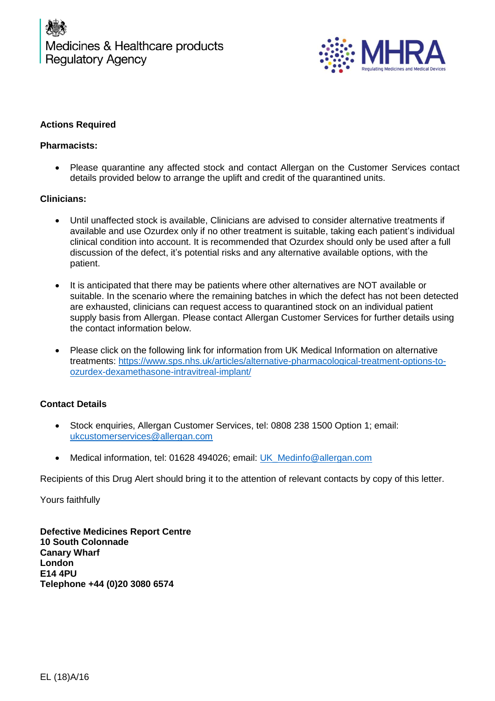

#### **Actions Required**

#### **Pharmacists:**

• Please quarantine any affected stock and contact Allergan on the Customer Services contact details provided below to arrange the uplift and credit of the quarantined units.

#### **Clinicians:**

- Until unaffected stock is available, Clinicians are advised to consider alternative treatments if available and use Ozurdex only if no other treatment is suitable, taking each patient's individual clinical condition into account. It is recommended that Ozurdex should only be used after a full discussion of the defect, it's potential risks and any alternative available options, with the patient.
- It is anticipated that there may be patients where other alternatives are NOT available or suitable. In the scenario where the remaining batches in which the defect has not been detected are exhausted, clinicians can request access to quarantined stock on an individual patient supply basis from Allergan. Please contact Allergan Customer Services for further details using the contact information below.
- Please click on the following link for information from UK Medical Information on alternative treatments: [https://www.sps.nhs.uk/articles/alternative-pharmacological-treatment-options-to](https://urldefense.proofpoint.com/v2/url?u=https-3A__www.sps.nhs.uk_articles_alternative-2Dpharmacological-2Dtreatment-2Doptions-2Dto-2Dozurdex-2Ddexamethasone-2Dintravitreal-2Dimplant_&d=DwMFAg&c=bXyEFqpHx20PVepeYtwgeyo6Hxa8iNFcGZACCQj1uNM&r=sYWV_4-eNhsO5u1Dz33on77oI74ZIEwEV_U5FsVQkgI&m=JkueeqGrTBi1a2NSgA2tLzpPzBCqlHBOfheiN0HB4Pk&s=bk9ExHQtm3YI7vnAw0JF9NmsOFa4zhAWt0CVo36eQlA&e=)[ozurdex-dexamethasone-intravitreal-implant/](https://urldefense.proofpoint.com/v2/url?u=https-3A__www.sps.nhs.uk_articles_alternative-2Dpharmacological-2Dtreatment-2Doptions-2Dto-2Dozurdex-2Ddexamethasone-2Dintravitreal-2Dimplant_&d=DwMFAg&c=bXyEFqpHx20PVepeYtwgeyo6Hxa8iNFcGZACCQj1uNM&r=sYWV_4-eNhsO5u1Dz33on77oI74ZIEwEV_U5FsVQkgI&m=JkueeqGrTBi1a2NSgA2tLzpPzBCqlHBOfheiN0HB4Pk&s=bk9ExHQtm3YI7vnAw0JF9NmsOFa4zhAWt0CVo36eQlA&e=)

#### **Contact Details**

- Stock enquiries, Allergan Customer Services, tel: 0808 238 1500 Option 1; email: [ukcustomerservices@allergan.com](mailto:ukcustomerservices@allergan.com)
- Medical information, tel: 01628 494026; email: [UK\\_Medinfo@allergan.com](mailto:UK_Medinfo@allergan.com)

Recipients of this Drug Alert should bring it to the attention of relevant contacts by copy of this letter.

Yours faithfully

**Defective Medicines Report Centre 10 South Colonnade Canary Wharf London E14 4PU Telephone +44 (0)20 3080 6574**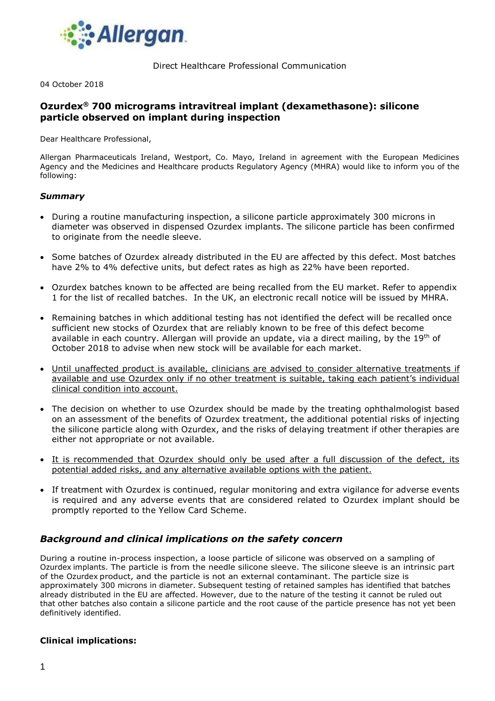

Direct Healthcare Professional Communication

04 October 2018

#### **Ozurdex® 700 micrograms intravitreal implant (dexamethasone): silicone particle observed on implant during inspection**

Dear Healthcare Professional,

Allergan Pharmaceuticals Ireland, Westport, Co. Mayo, Ireland in agreement with the European Medicines Agency and the Medicines and Healthcare products Regulatory Agency (MHRA) would like to inform you of the following:

#### *Summary*

- During a routine manufacturing inspection, a silicone particle approximately 300 microns in diameter was observed in dispensed Ozurdex implants. The silicone particle has been confirmed to originate from the needle sleeve.
- Some batches of Ozurdex already distributed in the EU are affected by this defect. Most batches have 2% to 4% defective units, but defect rates as high as 22% have been reported.
- Ozurdex batches known to be affected are being recalled from the EU market. Refer to appendix 1 for the list of recalled batches. In the UK, an electronic recall notice will be issued by MHRA.
- Remaining batches in which additional testing has not identified the defect will be recalled once sufficient new stocks of Ozurdex that are reliably known to be free of this defect become available in each country. Allergan will provide an update, via a direct mailing, by the 19<sup>th</sup> of October 2018 to advise when new stock will be available for each market.
- Until unaffected product is available, clinicians are advised to consider alternative treatments if available and use Ozurdex only if no other treatment is suitable, taking each patient's individual clinical condition into account.
- The decision on whether to use Ozurdex should be made by the treating ophthalmologist based on an assessment of the benefits of Ozurdex treatment, the additional potential risks of injecting the silicone particle along with Ozurdex, and the risks of delaying treatment if other therapies are either not appropriate or not available.
- It is recommended that Ozurdex should only be used after a full discussion of the defect, its potential added risks, and any alternative available options with the patient.
- If treatment with Ozurdex is continued, regular monitoring and extra vigilance for adverse events is required and any adverse events that are considered related to Ozurdex implant should be promptly reported to the Yellow Card Scheme.

#### *Background and clinical implications on the safety concern*

During a routine in-process inspection, a loose particle of silicone was observed on a sampling of Ozurdex implants. The particle is from the needle silicone sleeve. The silicone sleeve is an intrinsic part of the Ozurdex product, and the particle is not an external contaminant. The particle size is approximately 300 microns in diameter. Subsequent testing of retained samples has identified that batches already distributed in the EU are affected. However, due to the nature of the testing it cannot be ruled out that other batches also contain a silicone particle and the root cause of the particle presence has not yet been definitively identified.

#### **Clinical implications:**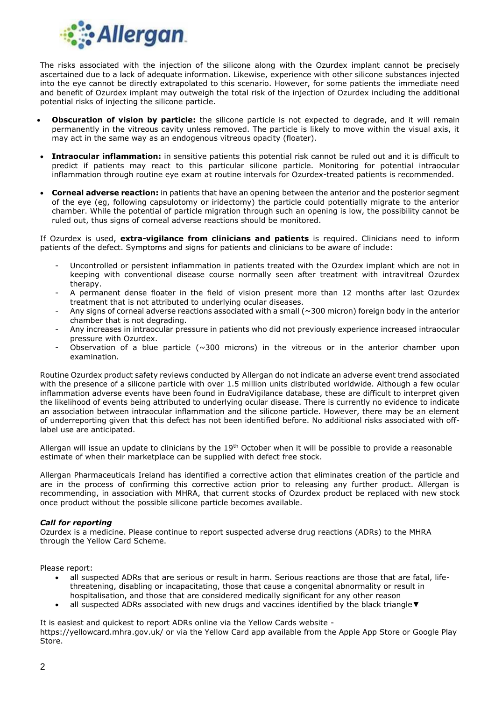

The risks associated with the injection of the silicone along with the Ozurdex implant cannot be precisely ascertained due to a lack of adequate information. Likewise, experience with other silicone substances injected into the eye cannot be directly extrapolated to this scenario. However, for some patients the immediate need and benefit of Ozurdex implant may outweigh the total risk of the injection of Ozurdex including the additional potential risks of injecting the silicone particle.

- **Obscuration of vision by particle:** the silicone particle is not expected to degrade, and it will remain permanently in the vitreous cavity unless removed. The particle is likely to move within the visual axis, it may act in the same way as an endogenous vitreous opacity (floater).
- **Intraocular inflammation:** in sensitive patients this potential risk cannot be ruled out and it is difficult to predict if patients may react to this particular silicone particle. Monitoring for potential intraocular inflammation through routine eye exam at routine intervals for Ozurdex-treated patients is recommended.
- **Corneal adverse reaction:** in patients that have an opening between the anterior and the posterior segment of the eye (eg, following capsulotomy or iridectomy) the particle could potentially migrate to the anterior chamber. While the potential of particle migration through such an opening is low, the possibility cannot be ruled out, thus signs of corneal adverse reactions should be monitored.

If Ozurdex is used, **extra-vigilance from clinicians and patients** is required. Clinicians need to inform patients of the defect. Symptoms and signs for patients and clinicians to be aware of include:

- Uncontrolled or persistent inflammation in patients treated with the Ozurdex implant which are not in keeping with conventional disease course normally seen after treatment with intravitreal Ozurdex therapy.
- A permanent dense floater in the field of vision present more than 12 months after last Ozurdex treatment that is not attributed to underlying ocular diseases.
- Any signs of corneal adverse reactions associated with a small ( $\sim$ 300 micron) foreign body in the anterior chamber that is not degrading.
- Any increases in intraocular pressure in patients who did not previously experience increased intraocular pressure with Ozurdex.
- Observation of a blue particle ( $\sim$ 300 microns) in the vitreous or in the anterior chamber upon examination.

Routine Ozurdex product safety reviews conducted by Allergan do not indicate an adverse event trend associated with the presence of a silicone particle with over 1.5 million units distributed worldwide. Although a few ocular inflammation adverse events have been found in EudraVigilance database, these are difficult to interpret given the likelihood of events being attributed to underlying ocular disease. There is currently no evidence to indicate an association between intraocular inflammation and the silicone particle. However, there may be an element of underreporting given that this defect has not been identified before. No additional risks associated with offlabel use are anticipated.

Allergan will issue an update to clinicians by the  $19<sup>th</sup>$  October when it will be possible to provide a reasonable estimate of when their marketplace can be supplied with defect free stock.

Allergan Pharmaceuticals Ireland has identified a corrective action that eliminates creation of the particle and are in the process of confirming this corrective action prior to releasing any further product. Allergan is recommending, in association with MHRA, that current stocks of Ozurdex product be replaced with new stock once product without the possible silicone particle becomes available.

#### *Call for reporting*

Ozurdex is a medicine. Please continue to report suspected adverse drug reactions (ADRs) to the MHRA through the Yellow Card Scheme.

Please report:

- all suspected ADRs that are serious or result in harm. Serious reactions are those that are fatal, lifethreatening, disabling or incapacitating, those that cause a congenital abnormality or result in hospitalisation, and those that are considered medically significant for any other reason
- all suspected ADRs associated with new drugs and vaccines identified by the black triangle▼

It is easiest and quickest to report ADRs online via the Yellow Cards website -

https://yellowcard.mhra.gov.uk/ or via the Yellow Card app available from the Apple App Store or Google Play Store.